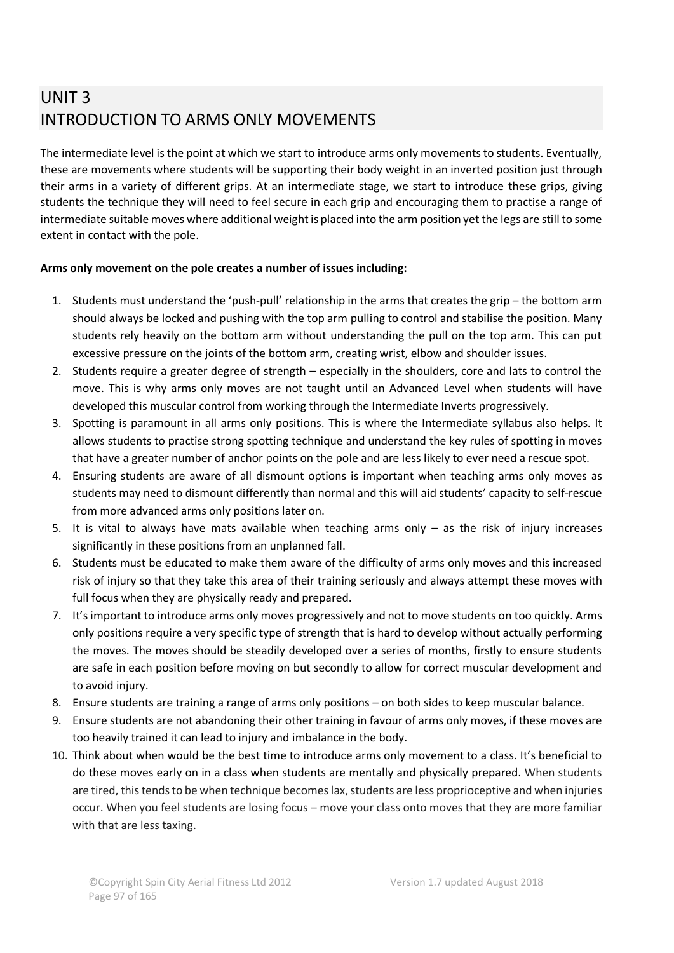# UNIT 3 INTRODUCTION TO ARMS ONLY MOVEMENTS

The intermediate level is the point at which we start to introduce arms only movements to students. Eventually, these are movements where students will be supporting their body weight in an inverted position just through their arms in a variety of different grips. At an intermediate stage, we start to introduce these grips, giving students the technique they will need to feel secure in each grip and encouraging them to practise a range of intermediate suitable moves where additional weight is placed into the arm position yet the legs are still to some extent in contact with the pole.

### **Arms only movement on the pole creates a number of issues including:**

- 1. Students must understand the 'push-pull' relationship in the arms that creates the grip the bottom arm should always be locked and pushing with the top arm pulling to control and stabilise the position. Many students rely heavily on the bottom arm without understanding the pull on the top arm. This can put excessive pressure on the joints of the bottom arm, creating wrist, elbow and shoulder issues.
- 2. Students require a greater degree of strength especially in the shoulders, core and lats to control the move. This is why arms only moves are not taught until an Advanced Level when students will have developed this muscular control from working through the Intermediate Inverts progressively.
- 3. Spotting is paramount in all arms only positions. This is where the Intermediate syllabus also helps. It allows students to practise strong spotting technique and understand the key rules of spotting in moves that have a greater number of anchor points on the pole and are less likely to ever need a rescue spot.
- 4. Ensuring students are aware of all dismount options is important when teaching arms only moves as students may need to dismount differently than normal and this will aid students' capacity to self-rescue from more advanced arms only positions later on.
- 5. It is vital to always have mats available when teaching arms only as the risk of injury increases significantly in these positions from an unplanned fall.
- 6. Students must be educated to make them aware of the difficulty of arms only moves and this increased risk of injury so that they take this area of their training seriously and always attempt these moves with full focus when they are physically ready and prepared.
- 7. It's important to introduce arms only moves progressively and not to move students on too quickly. Arms only positions require a very specific type of strength that is hard to develop without actually performing the moves. The moves should be steadily developed over a series of months, firstly to ensure students are safe in each position before moving on but secondly to allow for correct muscular development and to avoid injury.
- 8. Ensure students are training a range of arms only positions on both sides to keep muscular balance.
- 9. Ensure students are not abandoning their other training in favour of arms only moves, if these moves are too heavily trained it can lead to injury and imbalance in the body.
- 10. Think about when would be the best time to introduce arms only movement to a class. It's beneficial to do these moves early on in a class when students are mentally and physically prepared. When students are tired, this tends to be when technique becomes lax, students are less proprioceptive and when injuries occur. When you feel students are losing focus – move your class onto moves that they are more familiar with that are less taxing.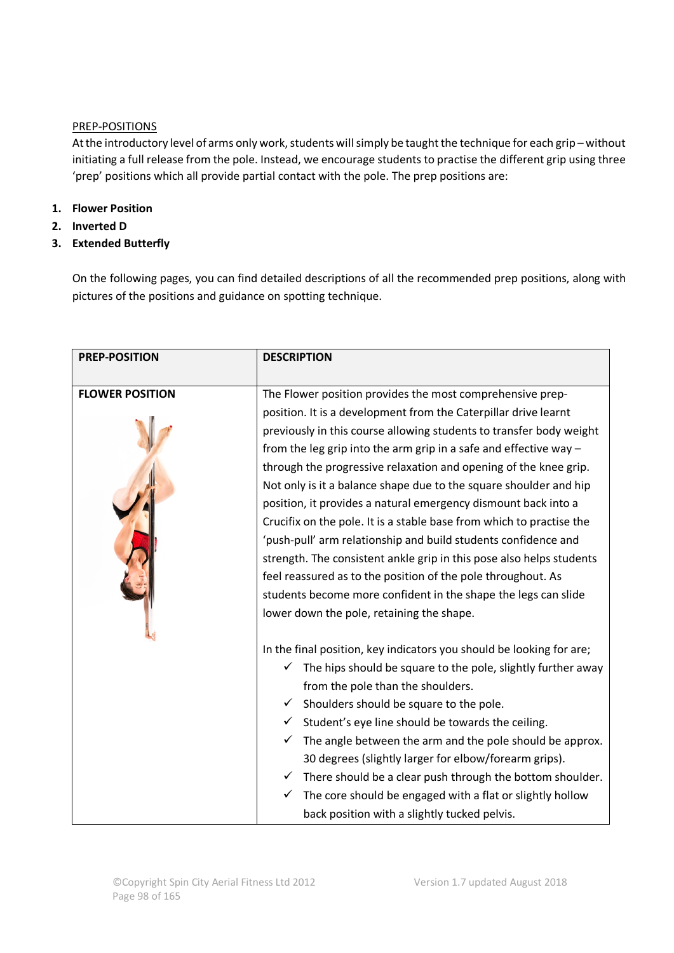#### PREP-POSITIONS

At the introductory level of arms only work, students will simply be taught the technique for each grip – without initiating a full release from the pole. Instead, we encourage students to practise the different grip using three 'prep' positions which all provide partial contact with the pole. The prep positions are:

## **1. Flower Position**

- **2. Inverted D**
- **3. Extended Butterfly**

On the following pages, you can find detailed descriptions of all the recommended prep positions, along with pictures of the positions and guidance on spotting technique.

| <b>PREP-POSITION</b>   | <b>DESCRIPTION</b>                                                    |
|------------------------|-----------------------------------------------------------------------|
| <b>FLOWER POSITION</b> | The Flower position provides the most comprehensive prep-             |
|                        |                                                                       |
|                        | position. It is a development from the Caterpillar drive learnt       |
|                        | previously in this course allowing students to transfer body weight   |
|                        | from the leg grip into the arm grip in a safe and effective way $-$   |
|                        | through the progressive relaxation and opening of the knee grip.      |
|                        | Not only is it a balance shape due to the square shoulder and hip     |
|                        | position, it provides a natural emergency dismount back into a        |
|                        | Crucifix on the pole. It is a stable base from which to practise the  |
|                        | 'push-pull' arm relationship and build students confidence and        |
|                        | strength. The consistent ankle grip in this pose also helps students  |
|                        | feel reassured as to the position of the pole throughout. As          |
|                        | students become more confident in the shape the legs can slide        |
|                        | lower down the pole, retaining the shape.                             |
|                        |                                                                       |
|                        | In the final position, key indicators you should be looking for are;  |
|                        | The hips should be square to the pole, slightly further away<br>✓     |
|                        | from the pole than the shoulders.                                     |
|                        | Shoulders should be square to the pole.<br>$\checkmark$               |
|                        | $\checkmark$ Student's eye line should be towards the ceiling.        |
|                        | $\checkmark$ The angle between the arm and the pole should be approx. |
|                        | 30 degrees (slightly larger for elbow/forearm grips).                 |
|                        | ✓                                                                     |
|                        | There should be a clear push through the bottom shoulder.             |
|                        | The core should be engaged with a flat or slightly hollow<br>✓        |
|                        | back position with a slightly tucked pelvis.                          |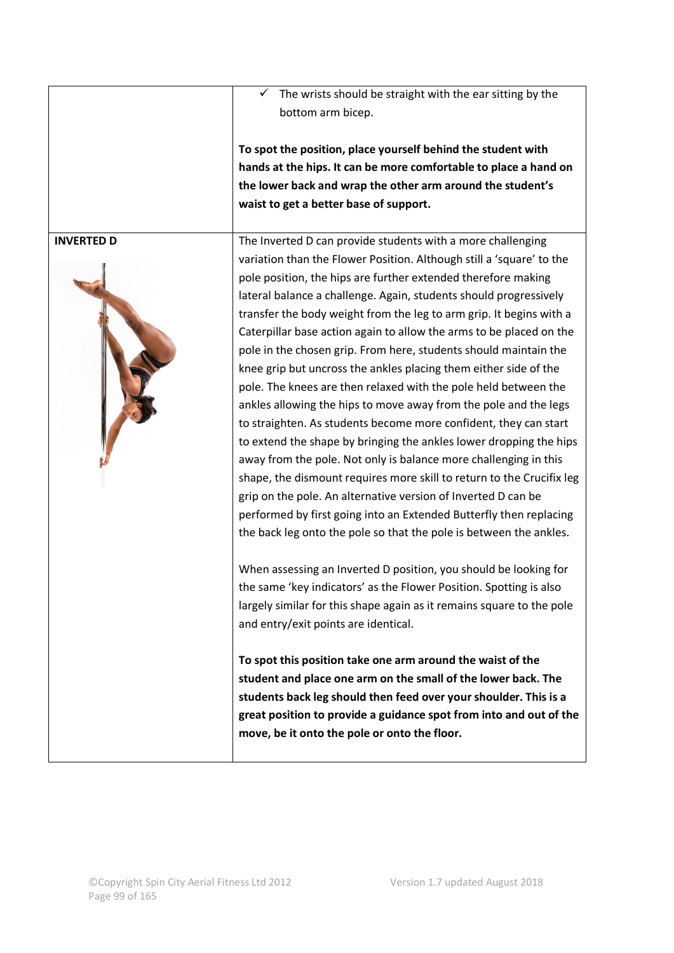The wrists should be straight with the ear sitting by the bottom arm bicep.

**To spot the position, place yourself behind the student with hands at the hips. It can be more comfortable to place a hand on the lower back and wrap the other arm around the student's waist to get a better base of support.**

**INVERTED D The Inverted D can provide students with a more challenging** variation than the Flower Position. Although still a 'square' to the pole position, the hips are further extended therefore making lateral balance a challenge. Again, students should progressively transfer the body weight from the leg to arm grip. It begins with a Caterpillar base action again to allow the arms to be placed on the pole in the chosen grip. From here, students should maintain the knee grip but uncross the ankles placing them either side of the pole. The knees are then relaxed with the pole held between the ankles allowing the hips to move away from the pole and the legs to straighten. As students become more confident, they can start to extend the shape by bringing the ankles lower dropping the hips away from the pole. Not only is balance more challenging in this shape, the dismount requires more skill to return to the Crucifix leg grip on the pole. An alternative version of Inverted D can be performed by first going into an Extended Butterfly then replacing the back leg onto the pole so that the pole is between the ankles.

> When assessing an Inverted D position, you should be looking for the same 'key indicators' as the Flower Position. Spotting is also largely similar for this shape again as it remains square to the pole and entry/exit points are identical.

**To spot this position take one arm around the waist of the student and place one arm on the small of the lower back. The students back leg should then feed over your shoulder. This is a great position to provide a guidance spot from into and out of the move, be it onto the pole or onto the floor.**